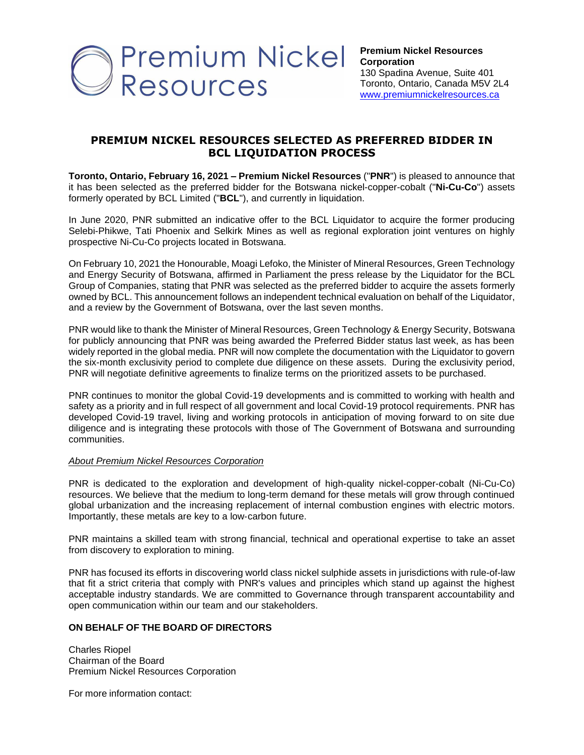

## **PREMIUM NICKEL RESOURCES SELECTED AS PREFERRED BIDDER IN BCL LIQUIDATION PROCESS**

**Toronto, Ontario, February 16, 2021 – Premium Nickel Resources** ("**PNR**") is pleased to announce that it has been selected as the preferred bidder for the Botswana nickel-copper-cobalt ("**Ni-Cu-Co**") assets formerly operated by BCL Limited ("**BCL**"), and currently in liquidation.

In June 2020, PNR submitted an indicative offer to the BCL Liquidator to acquire the former producing Selebi-Phikwe, Tati Phoenix and Selkirk Mines as well as regional exploration joint ventures on highly prospective Ni-Cu-Co projects located in Botswana.

On February 10, 2021 the Honourable, Moagi Lefoko, the Minister of Mineral Resources, Green Technology and Energy Security of Botswana, affirmed in Parliament the press release by the Liquidator for the BCL Group of Companies, stating that PNR was selected as the preferred bidder to acquire the assets formerly owned by BCL. This announcement follows an independent technical evaluation on behalf of the Liquidator, and a review by the Government of Botswana, over the last seven months.

PNR would like to thank the Minister of Mineral Resources, Green Technology & Energy Security, Botswana for publicly announcing that PNR was being awarded the Preferred Bidder status last week, as has been widely reported in the global media. PNR will now complete the documentation with the Liquidator to govern the six-month exclusivity period to complete due diligence on these assets. During the exclusivity period, PNR will negotiate definitive agreements to finalize terms on the prioritized assets to be purchased.

PNR continues to monitor the global Covid-19 developments and is committed to working with health and safety as a priority and in full respect of all government and local Covid-19 protocol requirements. PNR has developed Covid-19 travel, living and working protocols in anticipation of moving forward to on site due diligence and is integrating these protocols with those of The Government of Botswana and surrounding communities.

## *About Premium Nickel Resources Corporation*

PNR is dedicated to the exploration and development of high-quality nickel-copper-cobalt (Ni-Cu-Co) resources. We believe that the medium to long-term demand for these metals will grow through continued global urbanization and the increasing replacement of internal combustion engines with electric motors. Importantly, these metals are key to a low‑carbon future.

PNR maintains a skilled team with strong financial, technical and operational expertise to take an asset from discovery to exploration to mining.

PNR has focused its efforts in discovering world class nickel sulphide assets in jurisdictions with rule-of-law that fit a strict criteria that comply with PNR's values and principles which stand up against the highest acceptable industry standards. We are committed to Governance through transparent accountability and open communication within our team and our stakeholders.

## **ON BEHALF OF THE BOARD OF DIRECTORS**

Charles Riopel Chairman of the Board Premium Nickel Resources Corporation

For more information contact: